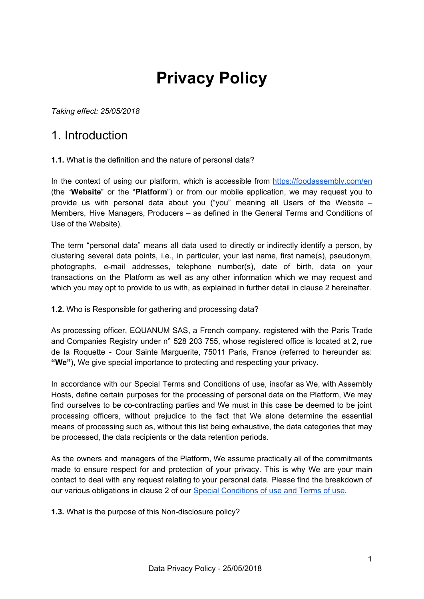# **Privacy Policy**

*Taking effect: 25/05/2018*

#### 1. Introduction

#### **1.1.** What is the definition and the nature of personal data?

In the context of using our platform, which is accessible from <https://foodassembly.com/en> [\(the](http://www.laruchequiditoui.fr/) "**Website**" or [the](http://www.laruchequiditoui.fr/) "**Platform**"[\)](http://www.laruchequiditoui.fr/) or from our mobile application, we may request you to provide us with personal data about you ("you" meaning all Users of the Website – Members, Hive Managers, Producers – as defined in the General Terms and Conditions of Use of the Website).

The term "personal data" means all data used to directly or indirectly identify a person, by clustering several data points, i.e., in particular, your last name, first name(s), pseudonym, photographs, e-mail addresses, telephone number(s), date of birth, data on your transactions on the Platform as well as any other information which we may request and which you may opt to provide to us with, as explained in further detail in clause 2 hereinafter.

#### **1.2.** Who is Responsible for gathering and processing data?

As processing officer, EQUANUM SAS, a French company, registered with the Paris Trade and Companies Registry under n° 528 203 755, whose registered office is located at 2, rue de la Roquette - Cour Sainte Marguerite, 75011 Paris, France (referred to hereunder as: **"We"**), We give special importance to protecting and respecting your privacy.

In accordance with our Special Terms and Conditions of use, insofar as We, with Assembly Hosts, define certain purposes for the processing of personal data on the Platform, We may find ourselves to be co-contracting parties and We must in this case be deemed to be joint processing officers, without prejudice to the fact that We alone determine the essential means of processing such as, without this list being exhaustive, the data categories that may be processed, the data recipients or the data retention periods.

As the owners and managers of the Platform, We assume practically all of the commitments made to ensure respect for and protection of your privacy. This is why We are your main contact to deal with any request relating to your personal data. Please find the breakdown of our various obligations in clause 2 of our Special [Conditions](https://d252gktqfh773f.cloudfront.net/fr/p/assets/documents/en-GB/terms-25-05-2018/cpu.pdf) of use and Terms of use.

**1.3.** What is the purpose of this Non-disclosure policy?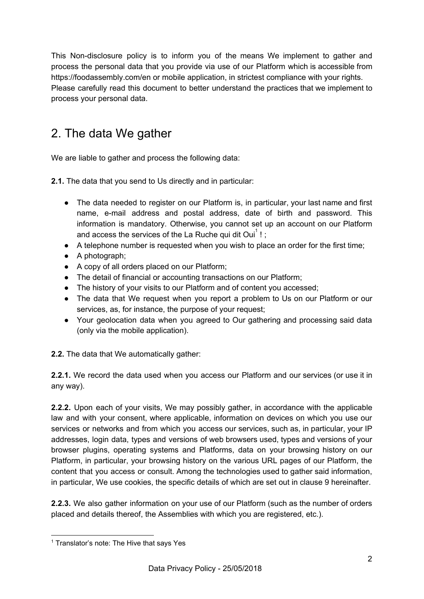This Non-disclosure policy is to inform you of the means We implement to gather and process the personal data that you provide via use of our Platform which is accessible from https://foodassembly.com/en or mobile application, in strictest compliance with your rights. Please carefully read this document to better understand the practices that we implement to process your personal data.

# 2. The data We gather

We are liable to gather and process the following data:

**2.1.** The data that you send to Us directly and in particular:

- The data needed to register on our Platform is, in particular, your last name and first name, e-mail address and postal address, date of birth and password. This information is mandatory. Otherwise, you cannot set up an account on our Platform and access the services of the La Ruche qui dit Oui $<sup>1</sup>$ !;</sup>
- **●** A telephone number is requested when you wish to place an order for the first time;
- A photograph;
- A copy of all orders placed on our Platform;
- The detail of financial or accounting transactions on our Platform;
- The history of your visits to our Platform and of content you accessed;
- The data that We request when you report a problem to Us on our Platform or our services, as, for instance, the purpose of your request;
- Your geolocation data when you agreed to Our gathering and processing said data (only via the mobile application).

**2.2.** The data that We automatically gather:

**2.2.1.** We record the data used when you access our Platform and our services (or use it in any way).

**2.2.2.** Upon each of your visits, We may possibly gather, in accordance with the applicable law and with your consent, where applicable, information on devices on which you use our services or networks and from which you access our services, such as, in particular, your IP addresses, login data, types and versions of web browsers used, types and versions of your browser plugins, operating systems and Platforms, data on your browsing history on our Platform, in particular, your browsing history on the various URL pages of our Platform, the content that you access or consult. Among the technologies used to gather said information, in particular, We use cookies, the specific details of which are set out in clause 9 hereinafter.

**2.2.3.** We also gather information on your use of our Platform (such as the number of orders placed and details thereof, the Assemblies with which you are registered, etc.).

<sup>&</sup>lt;sup>1</sup> Translator's note: The Hive that says Yes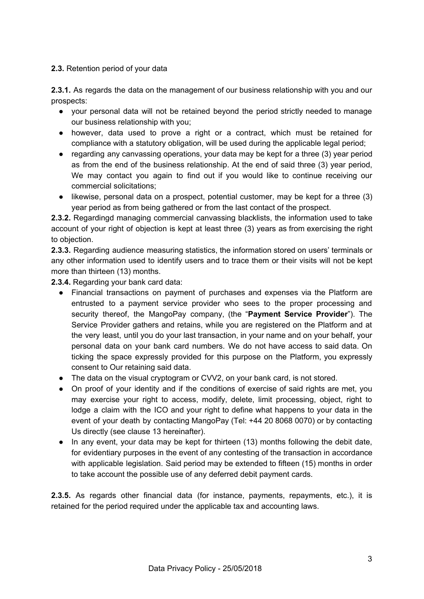#### **2.3.** Retention period of your data

**2.3.1.** As regards the data on the management of our business relationship with you and our prospects:

- your personal data will not be retained beyond the period strictly needed to manage our business relationship with you;
- however, data used to prove a right or a contract, which must be retained for compliance with a statutory obligation, will be used during the applicable legal period;
- regarding any canvassing operations, your data may be kept for a three (3) year period as from the end of the business relationship. At the end of said three (3) year period, We may contact you again to find out if you would like to continue receiving our commercial solicitations;
- likewise, personal data on a prospect, potential customer, may be kept for a three (3) year period as from being gathered or from the last contact of the prospect.

**2.3.2.** Regardingd managing commercial canvassing blacklists, the information used to take account of your right of objection is kept at least three (3) years as from exercising the right to objection.

**2.3.3.** Regarding audience measuring statistics, the information stored on users' terminals or any other information used to identify users and to trace them or their visits will not be kept more than thirteen (13) months.

**2.3.4.** Regarding your bank card data:

- Financial transactions on payment of purchases and expenses via the Platform are entrusted to a payment service provider who sees to the proper processing and security thereof, the MangoPay company, (the "**Payment Service Provider**"). The Service Provider gathers and retains, while you are registered on the Platform and at the very least, until you do your last transaction, in your name and on your behalf, your personal data on your bank card numbers. We do not have access to said data. On ticking the space expressly provided for this purpose on the Platform, you expressly consent to Our retaining said data.
- The data on the visual cryptogram or CVV2, on your bank card, is not stored.
- On proof of your identity and if the conditions of exercise of said rights are met, you may exercise your right to access, modify, delete, limit processing, object, right to lodge a claim with the ICO and your right to define what happens to your data in the event of your death by contacting MangoPay (Tel: +44 20 8068 0070) or by contacting Us directly (see clause 13 hereinafter).
- In any event, your data may be kept for thirteen (13) months following the debit date, for evidentiary purposes in the event of any contesting of the transaction in accordance with applicable legislation. Said period may be extended to fifteen (15) months in order to take account the possible use of any deferred debit payment cards.

**2.3.5.** As regards other financial data (for instance, payments, repayments, etc.), it is retained for the period required under the applicable tax and accounting laws.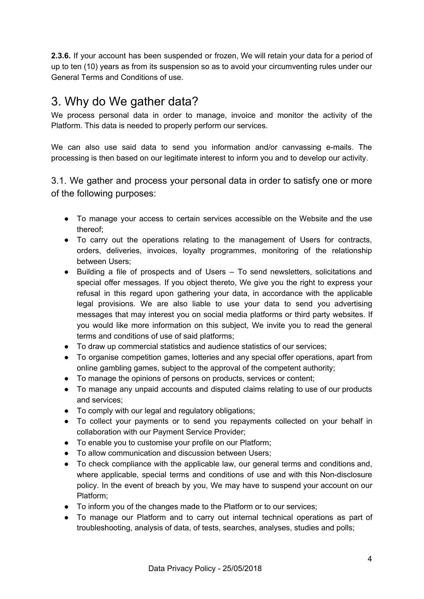**2.3.6.** If your account has been suspended or frozen, We will retain your data for a period of up to ten (10) years as from its suspension so as to avoid your circumventing rules under our General Terms and Conditions of use.

### 3. Why do We gather data?

We process personal data in order to manage, invoice and monitor the activity of the Platform. This data is needed to properly perform our services.

We can also use said data to send you information and/or canvassing e-mails. The processing is then based on our legitimate interest to inform you and to develop our activity.

3.1. We gather and process your personal data in order to satisfy one or more of the following purposes:

- To manage your access to certain services accessible on the Website and the use thereof;
- To carry out the operations relating to the management of Users for contracts, orders, deliveries, invoices, loyalty programmes, monitoring of the relationship between Users;
- Building a file of prospects and of Users To send newsletters, solicitations and special offer messages. If you object thereto, We give you the right to express your refusal in this regard upon gathering your data, in accordance with the applicable legal provisions. We are also liable to use your data to send you advertising messages that may interest you on social media platforms or third party websites. If you would like more information on this subject, We invite you to read the general terms and conditions of use of said platforms;
- To draw up commercial statistics and audience statistics of our services;
- To organise competition games, lotteries and any special offer operations, apart from online gambling games, subject to the approval of the competent authority;
- To manage the opinions of persons on products, services or content;
- To manage any unpaid accounts and disputed claims relating to use of our products and services;
- To comply with our legal and regulatory obligations;
- To collect your payments or to send you repayments collected on your behalf in collaboration with our Payment Service Provider;
- To enable you to customise your profile on our Platform;
- To allow communication and discussion between Users;
- To check compliance with the applicable law, our general terms and conditions and, where applicable, special terms and conditions of use and with this Non-disclosure policy. In the event of breach by you, We may have to suspend your account on our Platform;
- To inform you of the changes made to the Platform or to our services;
- To manage our Platform and to carry out internal technical operations as part of troubleshooting, analysis of data, of tests, searches, analyses, studies and polls;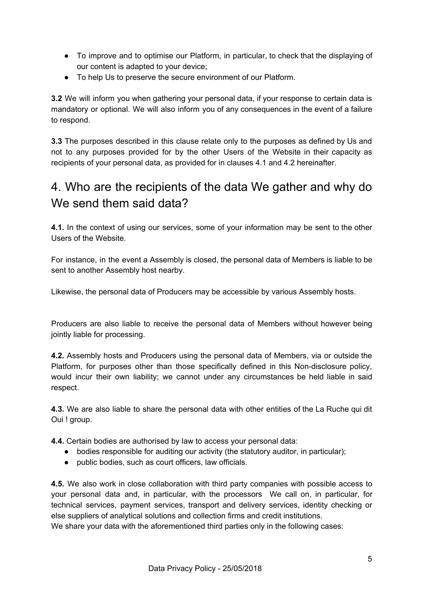- To improve and to optimise our Platform, in particular, to check that the displaying of our content is adapted to your device;
- To help Us to preserve the secure environment of our Platform.

**3.2** We will inform you when gathering your personal data, if your response to certain data is mandatory or optional. We will also inform you of any consequences in the event of a failure to respond.

**3.3** The purposes described in this clause relate only to the purposes as defined by Us and not to any purposes provided for by the other Users of the Website in their capacity as recipients of your personal data, as provided for in clauses 4.1 and 4.2 hereinafter.

# 4. Who are the recipients of the data We gather and why do We send them said data?

**4.1.** In the context of using our services, some of your information may be sent to the other Users of the Website.

For instance, in the event a Assembly is closed, the personal data of Members is liable to be sent to another Assembly host nearby.

Likewise, the personal data of Producers may be accessible by various Assembly hosts.

Producers are also liable to receive the personal data of Members without however being jointly liable for processing.

**4.2.** Assembly hosts and Producers using the personal data of Members, via or outside the Platform, for purposes other than those specifically defined in this Non-disclosure policy, would incur their own liability; we cannot under any circumstances be held liable in said respect.

**4.3.** We are also liable to share the personal data with other entities of the La Ruche qui dit Oui ! group.

**4.4.** Certain bodies are authorised by law to access your personal data:

- bodies responsible for auditing our activity (the statutory auditor, in particular);
- public bodies, such as court officers, law officials.

**4.5.** We also work in close collaboration with third party companies with possible access to your personal data and, in particular, with the processors We call on, in particular, for technical services, payment services, transport and delivery services, identity checking or else suppliers of analytical solutions and collection firms and credit institutions. We share your data with the aforementioned third parties only in the following cases: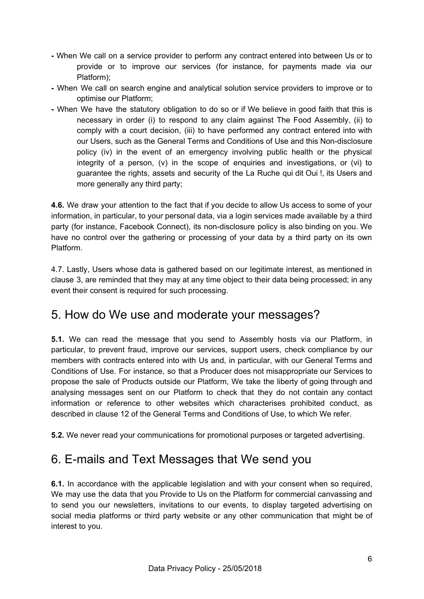- **-** When We call on a service provider to perform any contract entered into between Us or to provide or to improve our services (for instance, for payments made via our Platform);
- **-** When We call on search engine and analytical solution service providers to improve or to optimise our Platform;
- **-** When We have the statutory obligation to do so or if We believe in good faith that this is necessary in order (i) to respond to any claim against The Food Assembly, (ii) to comply with a court decision, (iii) to have performed any contract entered into with our Users, such as the General Terms and Conditions of Use and this Non-disclosure policy (iv) in the event of an emergency involving public health or the physical integrity of a person, (v) in the scope of enquiries and investigations, or (vi) to guarantee the rights, assets and security of the La Ruche qui dit Oui !, its Users and more generally any third party;

**4.6.** We draw your attention to the fact that if you decide to allow Us access to some of your information, in particular, to your personal data, via a login services made available by a third party (for instance, Facebook Connect), its non-disclosure policy is also binding on you. We have no control over the gathering or processing of your data by a third party on its own Platform.

4.7. Lastly, Users whose data is gathered based on our legitimate interest, as mentioned in clause 3, are reminded that they may at any time object to their data being processed; in any event their consent is required for such processing.

### 5. How do We use and moderate your messages?

**5.1.** We can read the message that you send to Assembly hosts via our Platform, in particular, to prevent fraud, improve our services, support users, check compliance by our members with contracts entered into with Us and, in particular, with our General Terms and Conditions of Use. For instance, so that a Producer does not misappropriate our Services to propose the sale of Products outside our Platform, We take the liberty of going through and analysing messages sent on our Platform to check that they do not contain any contact information or reference to other websites which characterises prohibited conduct, as described in clause 12 of the General Terms and Conditions of Use, to which We refer.

**5.2.** We never read your communications for promotional purposes or targeted advertising.

# 6. E-mails and Text Messages that We send you

**6.1.** In accordance with the applicable legislation and with your consent when so required, We may use the data that you Provide to Us on the Platform for commercial canvassing and to send you our newsletters, invitations to our events, to display targeted advertising on social media platforms or third party website or any other communication that might be of interest to you.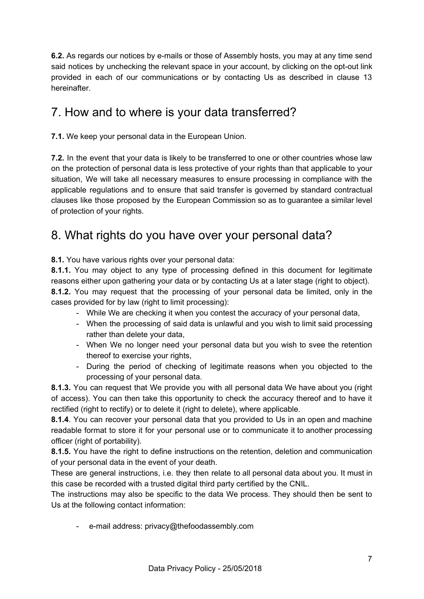**6.2.** As regards our notices by e-mails or those of Assembly hosts, you may at any time send said notices by unchecking the relevant space in your account, by clicking on the opt-out link provided in each of our communications or by contacting Us as described in clause 13 hereinafter.

# 7. How and to where is your data transferred?

**7.1.** We keep your personal data in the European Union.

**7.2.** In the event that your data is likely to be transferred to one or other countries whose law on the protection of personal data is less protective of your rights than that applicable to your situation, We will take all necessary measures to ensure processing in compliance with the applicable regulations and to ensure that said transfer is governed by standard contractual clauses like those proposed by the European Commission so as to guarantee a similar level of protection of your rights.

# 8. What rights do you have over your personal data?

**8.1.** You have various rights over your personal data:

**8.1.1.** You may object to any type of processing defined in this document for legitimate reasons either upon gathering your data or by contacting Us at a later stage (right to object).

**8.1.2.** You may request that the processing of your personal data be limited, only in the cases provided for by law (right to limit processing):

- While We are checking it when you contest the accuracy of your personal data,
- When the processing of said data is unlawful and you wish to limit said processing rather than delete your data,
- When We no longer need your personal data but you wish to svee the retention thereof to exercise your rights,
- During the period of checking of legitimate reasons when you objected to the processing of your personal data.

**8.1.3.** You can request that We provide you with all personal data We have about you (right of access). You can then take this opportunity to check the accuracy thereof and to have it rectified (right to rectify) or to delete it (right to delete), where applicable.

**8.1.4**. You can recover your personal data that you provided to Us in an open and machine readable format to store it for your personal use or to communicate it to another processing officer (right of portability).

**8.1.5.** You have the right to define instructions on the retention, deletion and communication of your personal data in the event of your death.

These are general instructions, i.e. they then relate to all personal data about you. It must in this case be recorded with a trusted digital third party certified by the CNIL.

The instructions may also be specific to the data We process. They should then be sent to Us at the following contact information:

- e-mail address: privacy@thefoodassembly.com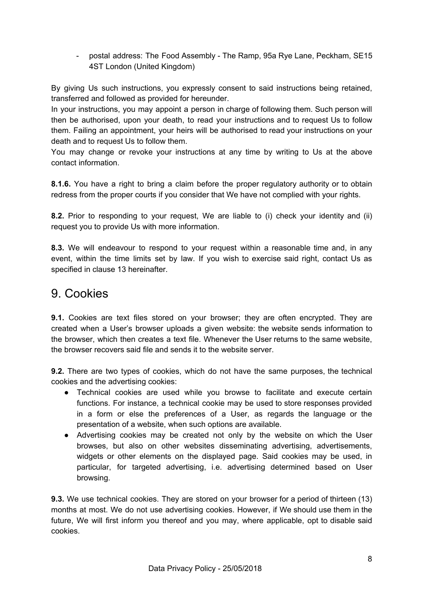- postal address: The Food Assembly - The Ramp, 95a Rye Lane, Peckham, SE15 4ST London (United Kingdom)

By giving Us such instructions, you expressly consent to said instructions being retained, transferred and followed as provided for hereunder.

In your instructions, you may appoint a person in charge of following them. Such person will then be authorised, upon your death, to read your instructions and to request Us to follow them. Failing an appointment, your heirs will be authorised to read your instructions on your death and to request Us to follow them.

You may change or revoke your instructions at any time by writing to Us at the above contact information.

**8.1.6.** You have a right to bring a claim before the proper regulatory authority or to obtain redress from the proper courts if you consider that We have not complied with your rights.

**8.2.** Prior to responding to your request, We are liable to (i) check your identity and (ii) request you to provide Us with more information.

**8.3.** We will endeavour to respond to your request within a reasonable time and, in any event, within the time limits set by law. If you wish to exercise said right, contact Us as specified in clause 13 hereinafter.

#### 9. Cookies

**9.1.** Cookies are text files stored on your browser; they are often encrypted. They are created when a User's browser uploads a given website: the website sends information to the browser, which then creates a text file. Whenever the User returns to the same website, the browser recovers said file and sends it to the website server.

**9.2.** There are two types of cookies, which do not have the same purposes, the technical cookies and the advertising cookies:

- Technical cookies are used while you browse to facilitate and execute certain functions. For instance, a technical cookie may be used to store responses provided in a form or else the preferences of a User, as regards the language or the presentation of a website, when such options are available.
- Advertising cookies may be created not only by the website on which the User browses, but also on other websites disseminating advertising, advertisements, widgets or other elements on the displayed page. Said cookies may be used, in particular, for targeted advertising, i.e. advertising determined based on User browsing.

**9.3.** We use technical cookies. They are stored on your browser for a period of thirteen (13) months at most. We do not use advertising cookies. However, if We should use them in the future, We will first inform you thereof and you may, where applicable, opt to disable said cookies.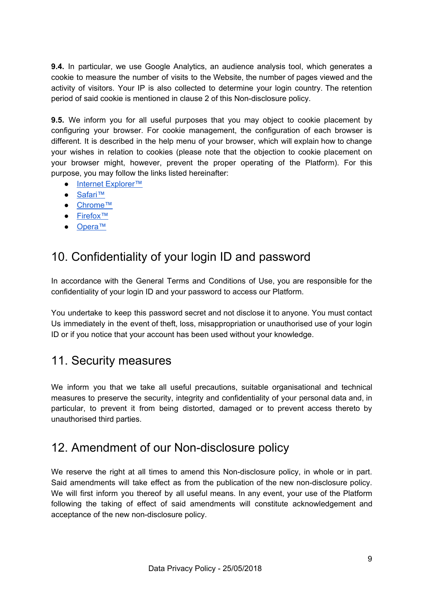**9.4.** In particular, we use Google Analytics, an audience analysis tool, which generates a cookie to measure the number of visits to the Website, the number of pages viewed and the activity of visitors. Your IP is also collected to determine your login country. The retention period of said cookie is mentioned in clause 2 of this Non-disclosure policy.

**9.5.** We inform you for all useful purposes that you may object to cookie placement by configuring your browser. For cookie management, the configuration of each browser is different. It is described in the help menu of your browser, which will explain how to change your wishes in relation to cookies (please note that the objection to cookie placement on your browser might, however, prevent the proper operating of the Platform). For this purpose, you may follow the links listed hereinafter:

- Internet Explorer<sup>™</sup>
- [Safari™](https://support.apple.com/en-gb/guide/safari/manage-cookies-and-website-data-sfri11471/mac)
- [Chrome™](https://support.google.com/chrome/answer/95647?co=GENIE.Platform%3DDesktop&hl=en)
- [Firefox™](https://support.mozilla.org/en-US/kb/enable-and-disable-cookies-website-preferences#w_how-do-i-change-cookie-settings)
- [Opera™](http://help.opera.com/Windows/10.20/fr/cookies.html)

# 10. Confidentiality of your login ID and password

In accordance with the General Terms and Conditions of Use, you are responsible for the confidentiality of your login ID and your password to access our Platform.

You undertake to keep this password secret and not disclose it to anyone. You must contact Us immediately in the event of theft, loss, misappropriation or unauthorised use of your login ID or if you notice that your account has been used without your knowledge.

#### 11. Security measures

We inform you that we take all useful precautions, suitable organisational and technical measures to preserve the security, integrity and confidentiality of your personal data and, in particular, to prevent it from being distorted, damaged or to prevent access thereto by unauthorised third parties.

#### 12. Amendment of our Non-disclosure policy

We reserve the right at all times to amend this Non-disclosure policy, in whole or in part. Said amendments will take effect as from the publication of the new non-disclosure policy. We will first inform you thereof by all useful means. In any event, your use of the Platform following the taking of effect of said amendments will constitute acknowledgement and acceptance of the new non-disclosure policy.